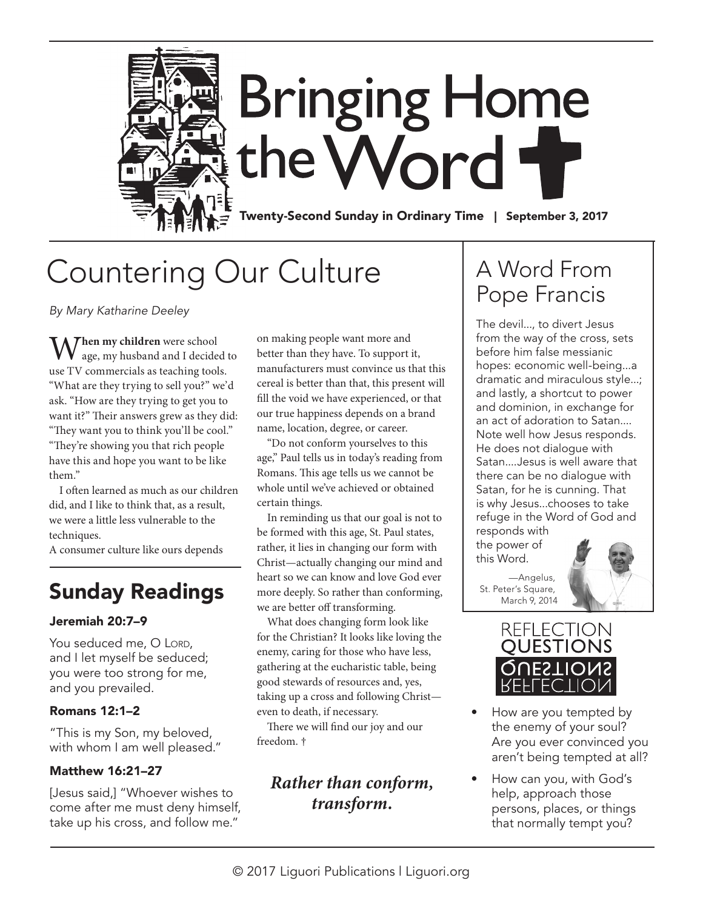

# Countering Our Culture

*By Mary Katharine Deeley*

**Then my children** were school age, my husband and I decided to use TV commercials as teaching tools. "What are they trying to sell you?" we'd ask. "How are they trying to get you to want it?" Their answers grew as they did: "They want you to think you'll be cool." "They're showing you that rich people have this and hope you want to be like them."

I often learned as much as our children did, and I like to think that, as a result, we were a little less vulnerable to the techniques.

A consumer culture like ours depends

### Sunday Readings

### Jeremiah 20:7–9

You seduced me, O LORD, and I let myself be seduced; you were too strong for me, and you prevailed.

### Romans 12:1–2

"This is my Son, my beloved, with whom I am well pleased."

#### Matthew 16:21–27

[Jesus said,] "Whoever wishes to come after me must deny himself, take up his cross, and follow me."

on making people want more and better than they have. To support it, manufacturers must convince us that this cereal is better than that, this present will fill the void we have experienced, or that our true happiness depends on a brand name, location, degree, or career.

"Do not conform yourselves to this age," Paul tells us in today's reading from Romans. This age tells us we cannot be whole until we've achieved or obtained certain things.

In reminding us that our goal is not to be formed with this age, St. Paul states, rather, it lies in changing our form with Christ—actually changing our mind and heart so we can know and love God ever more deeply. So rather than conforming, we are better off transforming.

What does changing form look like for the Christian? It looks like loving the enemy, caring for those who have less, gathering at the eucharistic table, being good stewards of resources and, yes, taking up a cross and following Christ even to death, if necessary.

There we will find our joy and our freedom. †

### *Rather than conform, transform.*

## A Word From Pope Francis

The devil..., to divert Jesus from the way of the cross, sets before him false messianic hopes: economic well-being...a dramatic and miraculous style...; and lastly, a shortcut to power and dominion, in exchange for an act of adoration to Satan.... Note well how Jesus responds. He does not dialogue with Satan....Jesus is well aware that there can be no dialogue with Satan, for he is cunning. That is why Jesus...chooses to take refuge in the Word of God and responds with

the power of this Word.



—Angelus, St. Peter's Square, March 9, 2014



- How are you tempted by the enemy of your soul? Are you ever convinced you aren't being tempted at all?
- How can you, with God's help, approach those persons, places, or things that normally tempt you?